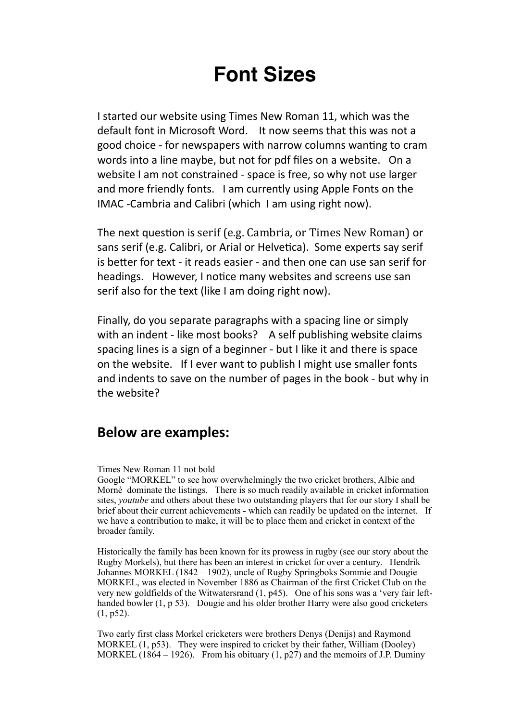# **Font Sizes**

I started our website using Times New Roman 11, which was the default font in Microsoft Word. It now seems that this was not a good choice - for newspapers with narrow columns wanting to cram words into a line maybe, but not for pdf files on a website. On a website I am not constrained - space is free, so why not use larger and more friendly fonts. I am currently using Apple Fonts on the IMAC -Cambria and Calibri (which I am using right now).

The next question is serif (e.g. Cambria, or Times New Roman) or sans serif (e.g. Calibri, or Arial or Helvetica). Some experts say serif is better for text - it reads easier - and then one can use san serif for headings. However, I notice many websites and screens use san serif also for the text (like I am doing right now).

Finally, do you separate paragraphs with a spacing line or simply with an indent - like most books? A self publishing website claims spacing lines is a sign of a beginner - but I like it and there is space on the website. If I ever want to publish I might use smaller fonts and indents to save on the number of pages in the book - but why in the website?

## **Below are examples:**

Times New Roman 11 not bold

Google "MORKEL" to see how overwhelmingly the two cricket brothers, Albie and Morné dominate the listings. There is so much readily available in cricket information sites, *youtube* and others about these two outstanding players that for our story I shall be brief about their current achievements - which can readily be updated on the internet. If we have a contribution to make, it will be to place them and cricket in context of the broader family.

Historically the family has been known for its prowess in rugby (see our story about the Rugby Morkels), but there has been an interest in cricket for over a century. Hendrik Johannes MORKEL (1842 – 1902), uncle of Rugby Springboks Sommie and Dougie MORKEL, was elected in November 1886 as Chairman of the first Cricket Club on the very new goldfields of the Witwatersrand (1, p45). One of his sons was a 'very fair lefthanded bowler (1, p 53). Dougie and his older brother Harry were also good cricketers (1, p52).

Two early first class Morkel cricketers were brothers Denys (Denijs) and Raymond MORKEL (1, p53). They were inspired to cricket by their father, William (Dooley) MORKEL  $(1864 - 1926)$ . From his obituary  $(1, p27)$  and the memoirs of J.P. Duminy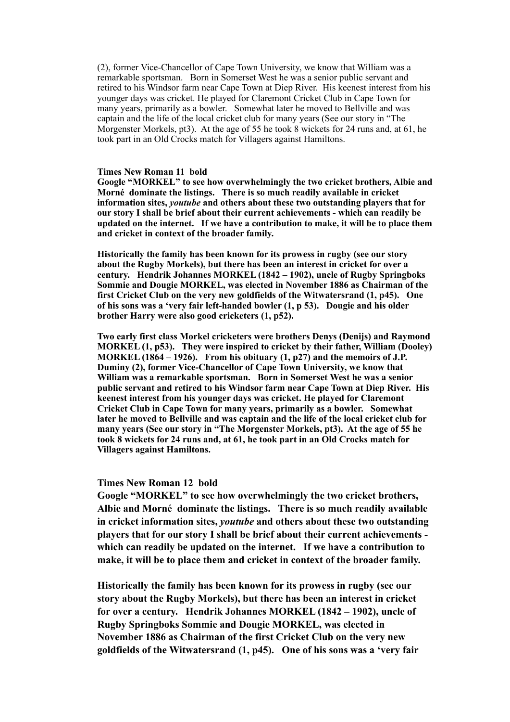(2), former Vice-Chancellor of Cape Town University, we know that William was a remarkable sportsman. Born in Somerset West he was a senior public servant and retired to his Windsor farm near Cape Town at Diep River. His keenest interest from his younger days was cricket. He played for Claremont Cricket Club in Cape Town for many years, primarily as a bowler. Somewhat later he moved to Bellville and was captain and the life of the local cricket club for many years (See our story in "The Morgenster Morkels, pt3). At the age of 55 he took 8 wickets for 24 runs and, at 61, he took part in an Old Crocks match for Villagers against Hamiltons.

#### **Times New Roman 11 bold**

**Google "MORKEL" to see how overwhelmingly the two cricket brothers, Albie and Morné dominate the listings. There is so much readily available in cricket information sites,** *youtube* **and others about these two outstanding players that for our story I shall be brief about their current achievements - which can readily be updated on the internet. If we have a contribution to make, it will be to place them and cricket in context of the broader family.**

**Historically the family has been known for its prowess in rugby (see our story about the Rugby Morkels), but there has been an interest in cricket for over a century. Hendrik Johannes MORKEL (1842 – 1902), uncle of Rugby Springboks Sommie and Dougie MORKEL, was elected in November 1886 as Chairman of the first Cricket Club on the very new goldfields of the Witwatersrand (1, p45). One of his sons was a 'very fair left-handed bowler (1, p 53). Dougie and his older brother Harry were also good cricketers (1, p52).** 

**Two early first class Morkel cricketers were brothers Denys (Denijs) and Raymond MORKEL (1, p53). They were inspired to cricket by their father, William (Dooley) MORKEL (1864 – 1926). From his obituary (1, p27) and the memoirs of J.P. Duminy (2), former Vice-Chancellor of Cape Town University, we know that William was a remarkable sportsman. Born in Somerset West he was a senior public servant and retired to his Windsor farm near Cape Town at Diep River. His keenest interest from his younger days was cricket. He played for Claremont Cricket Club in Cape Town for many years, primarily as a bowler. Somewhat later he moved to Bellville and was captain and the life of the local cricket club for many years (See our story in "The Morgenster Morkels, pt3). At the age of 55 he took 8 wickets for 24 runs and, at 61, he took part in an Old Crocks match for Villagers against Hamiltons.**

#### **Times New Roman 12 bold**

**Google "MORKEL" to see how overwhelmingly the two cricket brothers, Albie and Morné dominate the listings. There is so much readily available in cricket information sites,** *youtube* **and others about these two outstanding players that for our story I shall be brief about their current achievements which can readily be updated on the internet. If we have a contribution to make, it will be to place them and cricket in context of the broader family.**

**Historically the family has been known for its prowess in rugby (see our story about the Rugby Morkels), but there has been an interest in cricket for over a century. Hendrik Johannes MORKEL (1842 – 1902), uncle of Rugby Springboks Sommie and Dougie MORKEL, was elected in November 1886 as Chairman of the first Cricket Club on the very new goldfields of the Witwatersrand (1, p45). One of his sons was a 'very fair**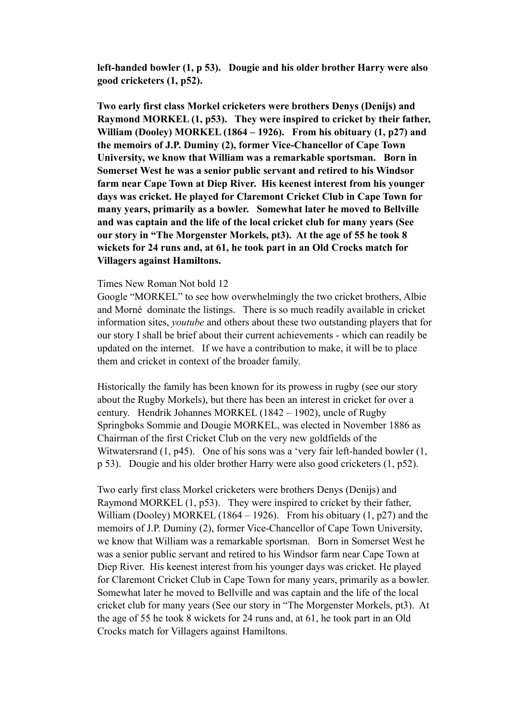**left-handed bowler (1, p 53). Dougie and his older brother Harry were also good cricketers (1, p52).** 

**Two early first class Morkel cricketers were brothers Denys (Denijs) and Raymond MORKEL (1, p53). They were inspired to cricket by their father, William (Dooley) MORKEL (1864 – 1926). From his obituary (1, p27) and the memoirs of J.P. Duminy (2), former Vice-Chancellor of Cape Town University, we know that William was a remarkable sportsman. Born in Somerset West he was a senior public servant and retired to his Windsor farm near Cape Town at Diep River. His keenest interest from his younger days was cricket. He played for Claremont Cricket Club in Cape Town for many years, primarily as a bowler. Somewhat later he moved to Bellville and was captain and the life of the local cricket club for many years (See our story in "The Morgenster Morkels, pt3). At the age of 55 he took 8 wickets for 24 runs and, at 61, he took part in an Old Crocks match for Villagers against Hamiltons.**

#### Times New Roman Not bold 12

Google "MORKEL" to see how overwhelmingly the two cricket brothers, Albie and Morné dominate the listings. There is so much readily available in cricket information sites, *youtube* and others about these two outstanding players that for our story I shall be brief about their current achievements - which can readily be updated on the internet. If we have a contribution to make, it will be to place them and cricket in context of the broader family.

Historically the family has been known for its prowess in rugby (see our story about the Rugby Morkels), but there has been an interest in cricket for over a century. Hendrik Johannes MORKEL (1842 – 1902), uncle of Rugby Springboks Sommie and Dougie MORKEL, was elected in November 1886 as Chairman of the first Cricket Club on the very new goldfields of the Witwatersrand (1, p45). One of his sons was a 'very fair left-handed bowler (1, p 53). Dougie and his older brother Harry were also good cricketers (1, p52).

Two early first class Morkel cricketers were brothers Denys (Denijs) and Raymond MORKEL (1, p53). They were inspired to cricket by their father, William (Dooley) MORKEL (1864 – 1926). From his obituary  $(1, p27)$  and the memoirs of J.P. Duminy (2), former Vice-Chancellor of Cape Town University, we know that William was a remarkable sportsman. Born in Somerset West he was a senior public servant and retired to his Windsor farm near Cape Town at Diep River. His keenest interest from his younger days was cricket. He played for Claremont Cricket Club in Cape Town for many years, primarily as a bowler. Somewhat later he moved to Bellville and was captain and the life of the local cricket club for many years (See our story in "The Morgenster Morkels, pt3). At the age of 55 he took 8 wickets for 24 runs and, at 61, he took part in an Old Crocks match for Villagers against Hamiltons.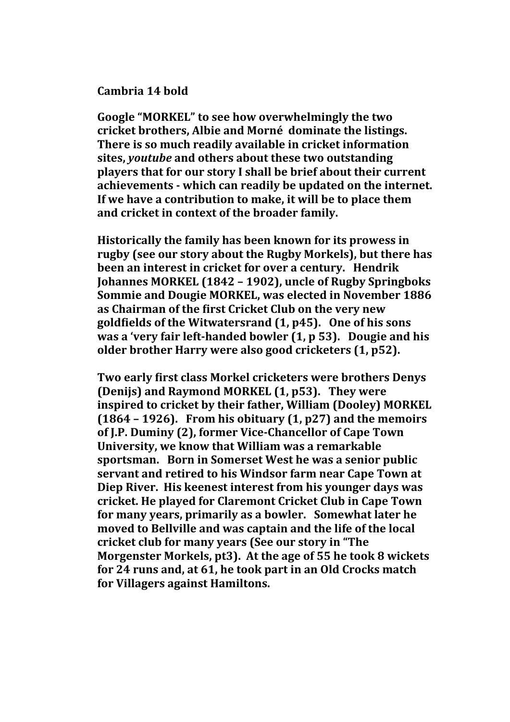## **Cambria 14 bold**

Google "MORKEL" to see how overwhelmingly the two cricket brothers, Albie and Morné dominate the listings. **There is so much readily available in cricket information sites,** *voutube* and others about these two outstanding **players that for our story I shall be brief about their current** achievements - which can readily be updated on the internet. If we have a contribution to make, it will be to place them and cricket in context of the broader family.

**Historically the family has been known for its prowess in** rugby (see our story about the Rugby Morkels), but there has **been an interest in cricket for over a century. Hendrik Johannes MORKEL (1842 - 1902), uncle of Rugby Springboks Sommie and Dougie MORKEL, was elected in November 1886** as Chairman of the first Cricket Club on the very new goldfields of the Witwatersrand (1, p45). One of his sons **was a 'very fair left-handed bowler (1, p 53). Dougie and his older brother Harry were also good cricketers (1, p52).** 

**Two early first class Morkel cricketers were brothers Denys (Denijs) and Raymond MORKEL (1, p53). They were inspired to cricket by their father, William (Dooley) MORKEL**  $(1864 - 1926)$ . From his obituary  $(1, p27)$  and the memoirs of J.P. Duminy (2), former Vice-Chancellor of Cape Town **University, we know that William was a remarkable sportsman.** Born in Somerset West he was a senior public **servant and retired to his Windsor farm near Cape Town at Diep River. His keenest interest from his vounger days was** cricket. He played for Claremont Cricket Club in Cape Town for many vears, primarily as a bowler. Somewhat later he moved to Bellville and was captain and the life of the local cricket club for many years (See our story in "The **Morgenster Morkels, pt3). At the age of 55 he took 8 wickets** for 24 runs and, at 61, he took part in an Old Crocks match for Villagers against Hamiltons.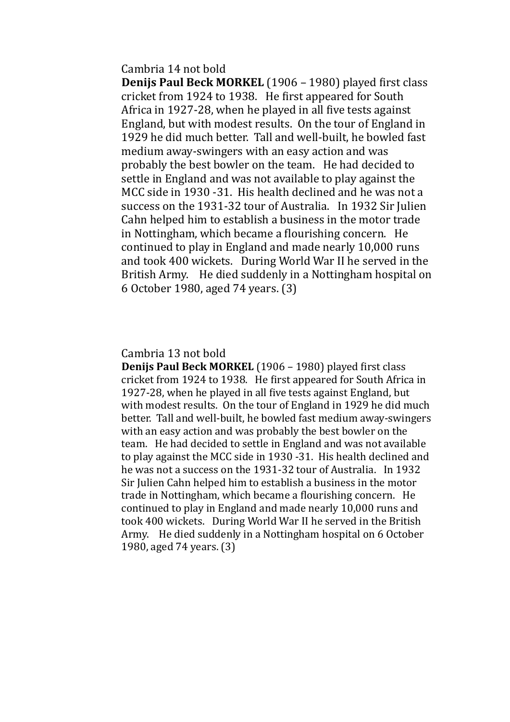Cambria 14 not bold

**Denijs Paul Beck MORKEL** (1906 – 1980) played first class cricket from 1924 to 1938. He first appeared for South Africa in  $1927-28$ , when he played in all five tests against England, but with modest results. On the tour of England in 1929 he did much better. Tall and well-built, he bowled fast medium away-swingers with an easy action and was probably the best bowler on the team. He had decided to settle in England and was not available to play against the MCC side in 1930 -31. His health declined and he was not a success on the 1931-32 tour of Australia. In 1932 Sir Julien Cahn helped him to establish a business in the motor trade in Nottingham, which became a flourishing concern. He continued to play in England and made nearly 10,000 runs and took 400 wickets. During World War II he served in the British Army. He died suddenly in a Nottingham hospital on 6 October 1980, aged 74 years. (3)

Cambria 13 not bold

**Denijs Paul Beck MORKEL** (1906 – 1980) played first class cricket from 1924 to 1938. He first appeared for South Africa in 1927-28, when he played in all five tests against England, but with modest results. On the tour of England in 1929 he did much better. Tall and well-built, he bowled fast medium away-swingers with an easy action and was probably the best bowler on the team. He had decided to settle in England and was not available to play against the MCC side in 1930 -31. His health declined and he was not a success on the 1931-32 tour of Australia. In 1932 Sir Julien Cahn helped him to establish a business in the motor trade in Nottingham, which became a flourishing concern. He continued to play in England and made nearly 10,000 runs and took 400 wickets. During World War II he served in the British Army. He died suddenly in a Nottingham hospital on 6 October 1980, aged 74 years. (3)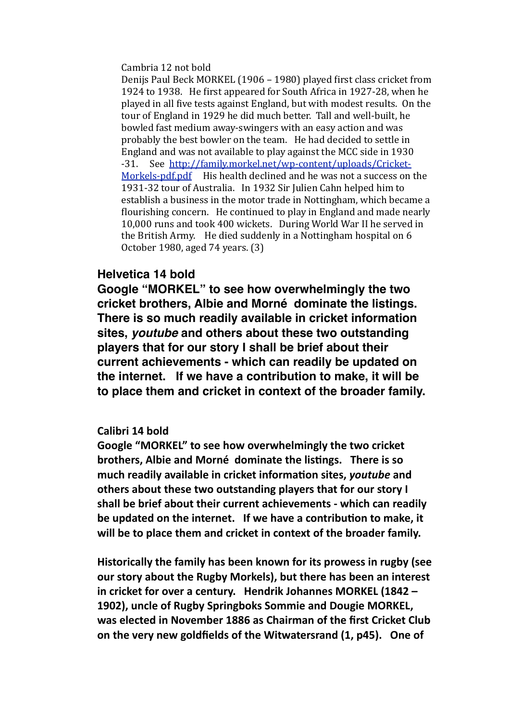Cambria 12 not bold

Denijs Paul Beck MORKEL (1906 – 1980) played first class cricket from 1924 to 1938. He first appeared for South Africa in 1927-28, when he played in all five tests against England, but with modest results. On the tour of England in 1929 he did much better. Tall and well-built, he bowled fast medium away-swingers with an easy action and was probably the best bowler on the team. He had decided to settle in England and was not available to play against the MCC side in 1930 -31. See [http://family.morkel.net/wp-content/uploads/Cricket-](http://family.morkel.net/wp-content/uploads/Cricket-Morkels-pdf.pdf)Morkels-pdf.pdf  $\;$  His health declined and he was not a success on the 1931-32 tour of Australia. In 1932 Sir Julien Cahn helped him to establish a business in the motor trade in Nottingham, which became a flourishing concern. He continued to play in England and made nearly 10,000 runs and took 400 wickets. During World War II he served in the British Army. He died suddenly in a Nottingham hospital on  $6$ October 1980, aged 74 years. (3)

## **Helvetica 14 bold**

**Google "MORKEL" to see how overwhelmingly the two cricket brothers, Albie and Morné dominate the listings. There is so much readily available in cricket information sites,** *youtube* **and others about these two outstanding players that for our story I shall be brief about their current achievements - which can readily be updated on the internet. If we have a contribution to make, it will be to place them and cricket in context of the broader family.**

## Calibri 14 bold

Google "MORKEL" to see how overwhelmingly the two cricket **brothers, Albie and Morné dominate the listings. There is so** much readily available in cricket information sites, *youtube* and others about these two outstanding players that for our story I shall be brief about their current achievements - which can readily be updated on the internet. If we have a contribution to make, it will be to place them and cricket in context of the broader family.

Historically the family has been known for its prowess in rugby (see our story about the Rugby Morkels), but there has been an interest in cricket for over a century. Hendrik Johannes MORKEL (1842 -**1902), uncle of Rugby Springboks Sommie and Dougie MORKEL.** was elected in November 1886 as Chairman of the first Cricket Club on the very new goldfields of the Witwatersrand (1, p45). One of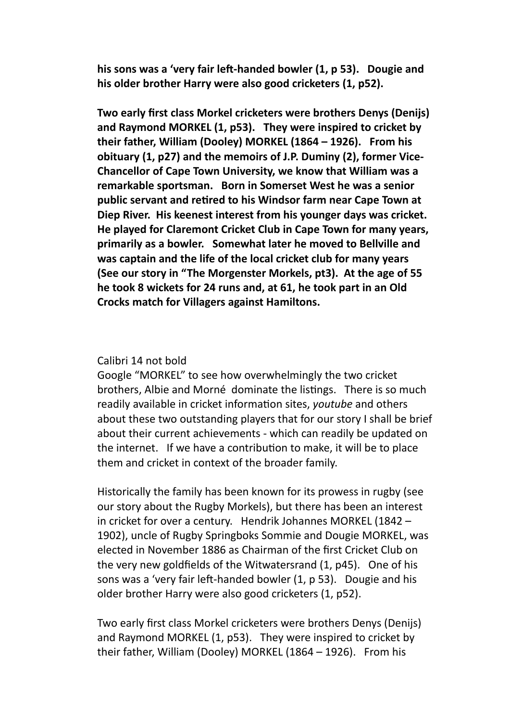his sons was a 'very fair left-handed bowler (1, p 53). Dougie and his older brother Harry were also good cricketers (1, p52).

**Two early first class Morkel cricketers were brothers Denys (Denijs)** and Raymond MORKEL (1, p53). They were inspired to cricket by their father, William (Dooley) MORKEL (1864 - 1926). From his obituary (1, p27) and the memoirs of J.P. Duminy (2), former Vice-**Chancellor of Cape Town University, we know that William was a** remarkable sportsman. Born in Somerset West he was a senior public servant and retired to his Windsor farm near Cape Town at Diep River. His keenest interest from his younger days was cricket. **He played for Claremont Cricket Club in Cape Town for many years,** primarily as a bowler. Somewhat later he moved to Bellville and was captain and the life of the local cricket club for many years **(See our story in "The Morgenster Morkels, pt3). At the age of 55** he took 8 wickets for 24 runs and, at 61, he took part in an Old **Crocks match for Villagers against Hamiltons.** 

### Calibri 14 not bold

Google "MORKEL" to see how overwhelmingly the two cricket brothers, Albie and Morné dominate the listings. There is so much readily available in cricket information sites, *youtube* and others about these two outstanding players that for our story I shall be brief about their current achievements - which can readily be updated on the internet. If we have a contribution to make, it will be to place them and cricket in context of the broader family.

Historically the family has been known for its prowess in rugby (see our story about the Rugby Morkels), but there has been an interest in cricket for over a century. Hendrik Johannes MORKEL  $(1842 -$ 1902), uncle of Rugby Springboks Sommie and Dougie MORKEL, was elected in November 1886 as Chairman of the first Cricket Club on the very new goldfields of the Witwatersrand  $(1, p45)$ . One of his sons was a 'very fair left-handed bowler  $(1, p 53)$ . Dougie and his older brother Harry were also good cricketers (1, p52).

Two early first class Morkel cricketers were brothers Denys (Denijs) and Raymond MORKEL  $(1, p53)$ . They were inspired to cricket by their father, William (Dooley) MORKEL  $(1864 - 1926)$ . From his